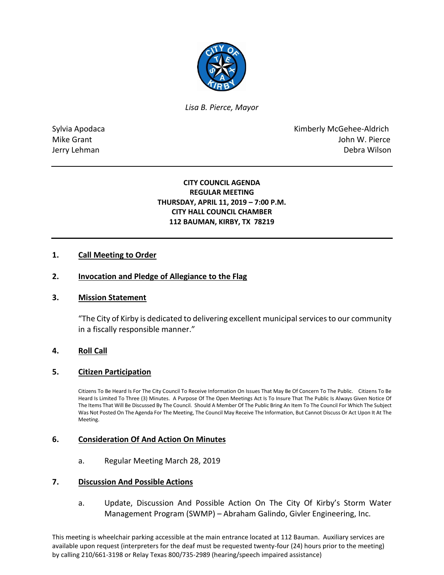

*Lisa B. Pierce, Mayor* 

Sylvia Apodaca **Kimberly McGehee-Aldrich** Mike Grant **Mike Grant** John W. Pierce Jerry Lehman Debra Wilson

# **CITY COUNCIL AGENDA REGULAR MEETING THURSDAY, APRIL 11, 2019 – 7:00 P.M. CITY HALL COUNCIL CHAMBER 112 BAUMAN, KIRBY, TX 78219**

# **1. Call Meeting to Order**

### **2. Invocation and Pledge of Allegiance to the Flag**

#### **3. Mission Statement**

"The City of Kirby is dedicated to delivering excellent municipal services to our community in a fiscally responsible manner."

# **4. Roll Call**

#### **5. Citizen Participation**

Citizens To Be Heard Is For The City Council To Receive Information On Issues That May Be Of Concern To The Public. Citizens To Be Heard Is Limited To Three (3) Minutes. A Purpose Of The Open Meetings Act Is To Insure That The Public Is Always Given Notice Of The Items That Will Be Discussed By The Council. Should A Member Of The Public Bring An Item To The Council For Which The Subject Was Not Posted On The Agenda For The Meeting, The Council May Receive The Information, But Cannot Discuss Or Act Upon It At The Meeting.

#### **6. Consideration Of And Action On Minutes**

a. Regular Meeting March 28, 2019

#### **7. Discussion And Possible Actions**

a. Update, Discussion And Possible Action On The City Of Kirby's Storm Water Management Program (SWMP) – Abraham Galindo, Givler Engineering, Inc.

This meeting is wheelchair parking accessible at the main entrance located at 112 Bauman. Auxiliary services are available upon request (interpreters for the deaf must be requested twenty-four (24) hours prior to the meeting) by calling 210/661-3198 or Relay Texas 800/735-2989 (hearing/speech impaired assistance)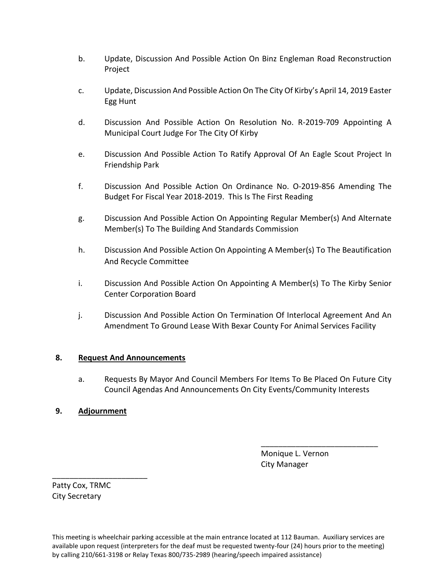- b. Update, Discussion And Possible Action On Binz Engleman Road Reconstruction Project
- c. Update, Discussion And Possible Action On The City Of Kirby's April 14, 2019 Easter Egg Hunt
- d. Discussion And Possible Action On Resolution No. R-2019-709 Appointing A Municipal Court Judge For The City Of Kirby
- e. Discussion And Possible Action To Ratify Approval Of An Eagle Scout Project In Friendship Park
- f. Discussion And Possible Action On Ordinance No. O-2019-856 Amending The Budget For Fiscal Year 2018-2019. This Is The First Reading
- g. Discussion And Possible Action On Appointing Regular Member(s) And Alternate Member(s) To The Building And Standards Commission
- h. Discussion And Possible Action On Appointing A Member(s) To The Beautification And Recycle Committee
- i. Discussion And Possible Action On Appointing A Member(s) To The Kirby Senior Center Corporation Board
- j. Discussion And Possible Action On Termination Of Interlocal Agreement And An Amendment To Ground Lease With Bexar County For Animal Services Facility

# **8. Request And Announcements**

a. Requests By Mayor And Council Members For Items To Be Placed On Future City Council Agendas And Announcements On City Events/Community Interests

\_\_\_\_\_\_\_\_\_\_\_\_\_\_\_\_\_\_\_\_\_\_\_\_\_\_\_

# **9. Adjournment**

 Monique L. Vernon City Manager

Patty Cox, TRMC City Secretary

\_\_\_\_\_\_\_\_\_\_\_\_\_\_\_\_\_\_\_\_\_\_

This meeting is wheelchair parking accessible at the main entrance located at 112 Bauman. Auxiliary services are available upon request (interpreters for the deaf must be requested twenty-four (24) hours prior to the meeting) by calling 210/661-3198 or Relay Texas 800/735-2989 (hearing/speech impaired assistance)